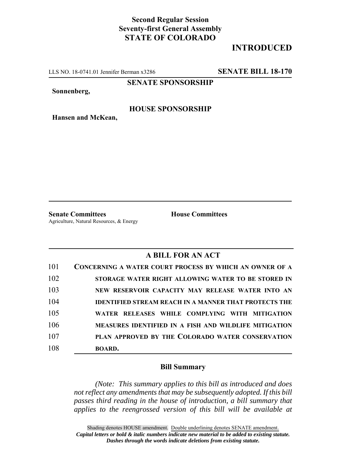# **Second Regular Session Seventy-first General Assembly STATE OF COLORADO**

# **INTRODUCED**

LLS NO. 18-0741.01 Jennifer Berman x3286 **SENATE BILL 18-170**

**SENATE SPONSORSHIP**

**Sonnenberg,**

## **HOUSE SPONSORSHIP**

**Hansen and McKean,**

**Senate Committees House Committees** Agriculture, Natural Resources, & Energy

## **A BILL FOR AN ACT**

| 101 | CONCERNING A WATER COURT PROCESS BY WHICH AN OWNER OF A      |
|-----|--------------------------------------------------------------|
| 102 | STORAGE WATER RIGHT ALLOWING WATER TO BE STORED IN           |
| 103 | NEW RESERVOIR CAPACITY MAY RELEASE WATER INTO AN             |
| 104 | <b>IDENTIFIED STREAM REACH IN A MANNER THAT PROTECTS THE</b> |
| 105 | WATER RELEASES WHILE COMPLYING WITH MITIGATION               |
| 106 | MEASURES IDENTIFIED IN A FISH AND WILDLIFE MITIGATION        |
| 107 | PLAN APPROVED BY THE COLORADO WATER CONSERVATION             |
| 108 | <b>BOARD.</b>                                                |

### **Bill Summary**

*(Note: This summary applies to this bill as introduced and does not reflect any amendments that may be subsequently adopted. If this bill passes third reading in the house of introduction, a bill summary that applies to the reengrossed version of this bill will be available at*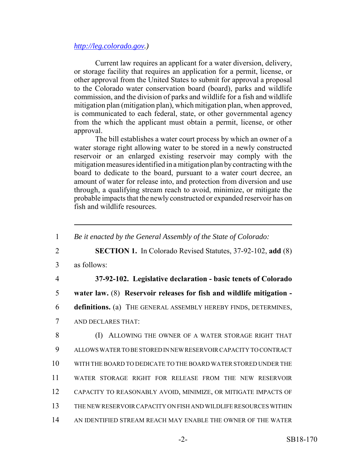### *http://leg.colorado.gov.)*

Current law requires an applicant for a water diversion, delivery, or storage facility that requires an application for a permit, license, or other approval from the United States to submit for approval a proposal to the Colorado water conservation board (board), parks and wildlife commission, and the division of parks and wildlife for a fish and wildlife mitigation plan (mitigation plan), which mitigation plan, when approved, is communicated to each federal, state, or other governmental agency from the which the applicant must obtain a permit, license, or other approval.

The bill establishes a water court process by which an owner of a water storage right allowing water to be stored in a newly constructed reservoir or an enlarged existing reservoir may comply with the mitigation measures identified in a mitigation plan by contracting with the board to dedicate to the board, pursuant to a water court decree, an amount of water for release into, and protection from diversion and use through, a qualifying stream reach to avoid, minimize, or mitigate the probable impacts that the newly constructed or expanded reservoir has on fish and wildlife resources.

<sup>1</sup> *Be it enacted by the General Assembly of the State of Colorado:* 2 **SECTION 1.** In Colorado Revised Statutes, 37-92-102, **add** (8) 3 as follows: 4 **37-92-102. Legislative declaration - basic tenets of Colorado** 5 **water law.** (8) **Reservoir releases for fish and wildlife mitigation -** 6 **definitions.** (a) THE GENERAL ASSEMBLY HEREBY FINDS, DETERMINES, 7 AND DECLARES THAT: 8 (I) ALLOWING THE OWNER OF A WATER STORAGE RIGHT THAT 9 ALLOWS WATER TO BE STORED IN NEW RESERVOIR CAPACITY TO CONTRACT 10 WITH THE BOARD TO DEDICATE TO THE BOARD WATER STORED UNDER THE 11 WATER STORAGE RIGHT FOR RELEASE FROM THE NEW RESERVOIR 12 CAPACITY TO REASONABLY AVOID, MINIMIZE, OR MITIGATE IMPACTS OF 13 THE NEW RESERVOIR CAPACITY ON FISH AND WILDLIFE RESOURCES WITHIN 14 AN IDENTIFIED STREAM REACH MAY ENABLE THE OWNER OF THE WATER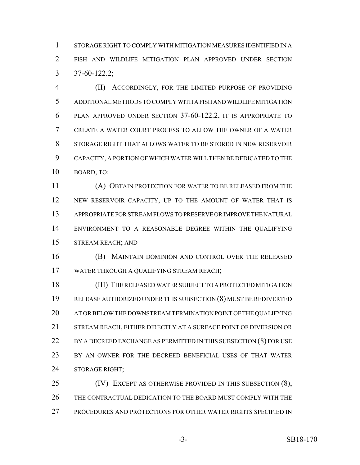STORAGE RIGHT TO COMPLY WITH MITIGATION MEASURES IDENTIFIED IN A FISH AND WILDLIFE MITIGATION PLAN APPROVED UNDER SECTION 37-60-122.2;

 (II) ACCORDINGLY, FOR THE LIMITED PURPOSE OF PROVIDING ADDITIONAL METHODS TO COMPLY WITH A FISH AND WILDLIFE MITIGATION PLAN APPROVED UNDER SECTION 37-60-122.2, IT IS APPROPRIATE TO CREATE A WATER COURT PROCESS TO ALLOW THE OWNER OF A WATER STORAGE RIGHT THAT ALLOWS WATER TO BE STORED IN NEW RESERVOIR CAPACITY, A PORTION OF WHICH WATER WILL THEN BE DEDICATED TO THE BOARD, TO:

 (A) OBTAIN PROTECTION FOR WATER TO BE RELEASED FROM THE NEW RESERVOIR CAPACITY, UP TO THE AMOUNT OF WATER THAT IS APPROPRIATE FOR STREAM FLOWS TO PRESERVE OR IMPROVE THE NATURAL ENVIRONMENT TO A REASONABLE DEGREE WITHIN THE QUALIFYING STREAM REACH; AND

 (B) MAINTAIN DOMINION AND CONTROL OVER THE RELEASED WATER THROUGH A QUALIFYING STREAM REACH;

 (III) THE RELEASED WATER SUBJECT TO A PROTECTED MITIGATION RELEASE AUTHORIZED UNDER THIS SUBSECTION (8) MUST BE REDIVERTED AT OR BELOW THE DOWNSTREAM TERMINATION POINT OF THE QUALIFYING 21 STREAM REACH, EITHER DIRECTLY AT A SURFACE POINT OF DIVERSION OR 22 BY A DECREED EXCHANGE AS PERMITTED IN THIS SUBSECTION (8) FOR USE BY AN OWNER FOR THE DECREED BENEFICIAL USES OF THAT WATER STORAGE RIGHT;

 (IV) EXCEPT AS OTHERWISE PROVIDED IN THIS SUBSECTION (8), THE CONTRACTUAL DEDICATION TO THE BOARD MUST COMPLY WITH THE PROCEDURES AND PROTECTIONS FOR OTHER WATER RIGHTS SPECIFIED IN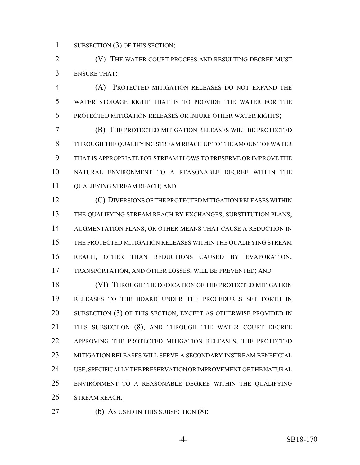1 SUBSECTION (3) OF THIS SECTION;

 (V) THE WATER COURT PROCESS AND RESULTING DECREE MUST ENSURE THAT:

 (A) PROTECTED MITIGATION RELEASES DO NOT EXPAND THE WATER STORAGE RIGHT THAT IS TO PROVIDE THE WATER FOR THE PROTECTED MITIGATION RELEASES OR INJURE OTHER WATER RIGHTS;

 (B) THE PROTECTED MITIGATION RELEASES WILL BE PROTECTED THROUGH THE QUALIFYING STREAM REACH UP TO THE AMOUNT OF WATER THAT IS APPROPRIATE FOR STREAM FLOWS TO PRESERVE OR IMPROVE THE NATURAL ENVIRONMENT TO A REASONABLE DEGREE WITHIN THE QUALIFYING STREAM REACH; AND

 (C) DIVERSIONS OF THE PROTECTED MITIGATION RELEASES WITHIN THE QUALIFYING STREAM REACH BY EXCHANGES, SUBSTITUTION PLANS, AUGMENTATION PLANS, OR OTHER MEANS THAT CAUSE A REDUCTION IN THE PROTECTED MITIGATION RELEASES WITHIN THE QUALIFYING STREAM REACH, OTHER THAN REDUCTIONS CAUSED BY EVAPORATION, TRANSPORTATION, AND OTHER LOSSES, WILL BE PREVENTED; AND

18 (VI) THROUGH THE DEDICATION OF THE PROTECTED MITIGATION RELEASES TO THE BOARD UNDER THE PROCEDURES SET FORTH IN 20 SUBSECTION (3) OF THIS SECTION, EXCEPT AS OTHERWISE PROVIDED IN THIS SUBSECTION (8), AND THROUGH THE WATER COURT DECREE 22 APPROVING THE PROTECTED MITIGATION RELEASES, THE PROTECTED MITIGATION RELEASES WILL SERVE A SECONDARY INSTREAM BENEFICIAL USE, SPECIFICALLY THE PRESERVATION OR IMPROVEMENT OF THE NATURAL ENVIRONMENT TO A REASONABLE DEGREE WITHIN THE QUALIFYING STREAM REACH.

27 (b) AS USED IN THIS SUBSECTION (8):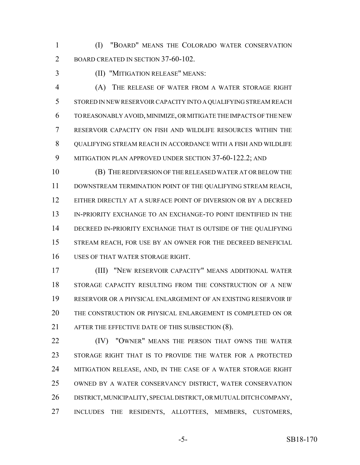(I) "BOARD" MEANS THE COLORADO WATER CONSERVATION 2 BOARD CREATED IN SECTION 37-60-102.

(II) "MITIGATION RELEASE" MEANS:

 (A) THE RELEASE OF WATER FROM A WATER STORAGE RIGHT STORED IN NEW RESERVOIR CAPACITY INTO A QUALIFYING STREAM REACH TO REASONABLY AVOID, MINIMIZE, OR MITIGATE THE IMPACTS OF THE NEW RESERVOIR CAPACITY ON FISH AND WILDLIFE RESOURCES WITHIN THE 8 OUALIFYING STREAM REACH IN ACCORDANCE WITH A FISH AND WILDLIFE MITIGATION PLAN APPROVED UNDER SECTION 37-60-122.2; AND

 (B) THE REDIVERSION OF THE RELEASED WATER AT OR BELOW THE 11 DOWNSTREAM TERMINATION POINT OF THE QUALIFYING STREAM REACH, EITHER DIRECTLY AT A SURFACE POINT OF DIVERSION OR BY A DECREED IN-PRIORITY EXCHANGE TO AN EXCHANGE-TO POINT IDENTIFIED IN THE DECREED IN-PRIORITY EXCHANGE THAT IS OUTSIDE OF THE QUALIFYING 15 STREAM REACH, FOR USE BY AN OWNER FOR THE DECREED BENEFICIAL USES OF THAT WATER STORAGE RIGHT.

 (III) "NEW RESERVOIR CAPACITY" MEANS ADDITIONAL WATER STORAGE CAPACITY RESULTING FROM THE CONSTRUCTION OF A NEW RESERVOIR OR A PHYSICAL ENLARGEMENT OF AN EXISTING RESERVOIR IF THE CONSTRUCTION OR PHYSICAL ENLARGEMENT IS COMPLETED ON OR 21 AFTER THE EFFECTIVE DATE OF THIS SUBSECTION (8).

**(IV)** "OWNER" MEANS THE PERSON THAT OWNS THE WATER STORAGE RIGHT THAT IS TO PROVIDE THE WATER FOR A PROTECTED MITIGATION RELEASE, AND, IN THE CASE OF A WATER STORAGE RIGHT OWNED BY A WATER CONSERVANCY DISTRICT, WATER CONSERVATION DISTRICT, MUNICIPALITY, SPECIAL DISTRICT, OR MUTUAL DITCH COMPANY, INCLUDES THE RESIDENTS, ALLOTTEES, MEMBERS, CUSTOMERS,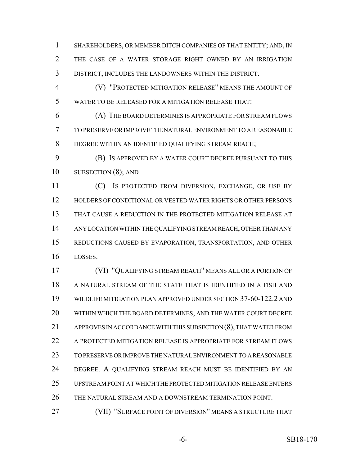SHAREHOLDERS, OR MEMBER DITCH COMPANIES OF THAT ENTITY; AND, IN THE CASE OF A WATER STORAGE RIGHT OWNED BY AN IRRIGATION DISTRICT, INCLUDES THE LANDOWNERS WITHIN THE DISTRICT.

 (V) "PROTECTED MITIGATION RELEASE" MEANS THE AMOUNT OF WATER TO BE RELEASED FOR A MITIGATION RELEASE THAT:

 (A) THE BOARD DETERMINES IS APPROPRIATE FOR STREAM FLOWS TO PRESERVE OR IMPROVE THE NATURAL ENVIRONMENT TO A REASONABLE DEGREE WITHIN AN IDENTIFIED QUALIFYING STREAM REACH;

 (B) IS APPROVED BY A WATER COURT DECREE PURSUANT TO THIS SUBSECTION (8); AND

 (C) IS PROTECTED FROM DIVERSION, EXCHANGE, OR USE BY HOLDERS OF CONDITIONAL OR VESTED WATER RIGHTS OR OTHER PERSONS THAT CAUSE A REDUCTION IN THE PROTECTED MITIGATION RELEASE AT ANY LOCATION WITHIN THE QUALIFYING STREAM REACH, OTHER THAN ANY REDUCTIONS CAUSED BY EVAPORATION, TRANSPORTATION, AND OTHER LOSSES.

 (VI) "QUALIFYING STREAM REACH" MEANS ALL OR A PORTION OF A NATURAL STREAM OF THE STATE THAT IS IDENTIFIED IN A FISH AND WILDLIFE MITIGATION PLAN APPROVED UNDER SECTION 37-60-122.2 AND WITHIN WHICH THE BOARD DETERMINES, AND THE WATER COURT DECREE APPROVES IN ACCORDANCE WITH THIS SUBSECTION (8), THAT WATER FROM A PROTECTED MITIGATION RELEASE IS APPROPRIATE FOR STREAM FLOWS TO PRESERVE OR IMPROVE THE NATURAL ENVIRONMENT TO A REASONABLE DEGREE. A QUALIFYING STREAM REACH MUST BE IDENTIFIED BY AN UPSTREAM POINT AT WHICH THE PROTECTED MITIGATION RELEASE ENTERS THE NATURAL STREAM AND A DOWNSTREAM TERMINATION POINT.

(VII) "SURFACE POINT OF DIVERSION" MEANS A STRUCTURE THAT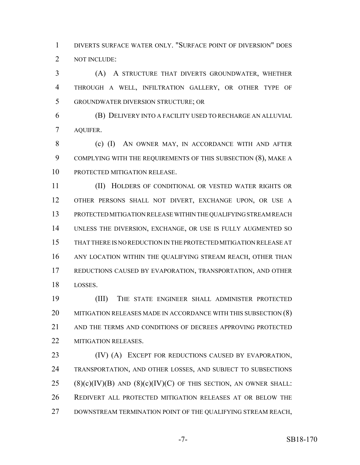DIVERTS SURFACE WATER ONLY. "SURFACE POINT OF DIVERSION" DOES NOT INCLUDE:

 (A) A STRUCTURE THAT DIVERTS GROUNDWATER, WHETHER THROUGH A WELL, INFILTRATION GALLERY, OR OTHER TYPE OF GROUNDWATER DIVERSION STRUCTURE; OR

 (B) DELIVERY INTO A FACILITY USED TO RECHARGE AN ALLUVIAL AQUIFER.

8 (c) (I) AN OWNER MAY, IN ACCORDANCE WITH AND AFTER COMPLYING WITH THE REQUIREMENTS OF THIS SUBSECTION (8), MAKE A PROTECTED MITIGATION RELEASE.

 (II) HOLDERS OF CONDITIONAL OR VESTED WATER RIGHTS OR OTHER PERSONS SHALL NOT DIVERT, EXCHANGE UPON, OR USE A PROTECTED MITIGATION RELEASE WITHIN THE QUALIFYING STREAM REACH UNLESS THE DIVERSION, EXCHANGE, OR USE IS FULLY AUGMENTED SO THAT THERE IS NO REDUCTION IN THE PROTECTED MITIGATION RELEASE AT 16 ANY LOCATION WITHIN THE QUALIFYING STREAM REACH, OTHER THAN REDUCTIONS CAUSED BY EVAPORATION, TRANSPORTATION, AND OTHER LOSSES.

 (III) THE STATE ENGINEER SHALL ADMINISTER PROTECTED 20 MITIGATION RELEASES MADE IN ACCORDANCE WITH THIS SUBSECTION (8) 21 AND THE TERMS AND CONDITIONS OF DECREES APPROVING PROTECTED 22 MITIGATION RELEASES.

 (IV) (A) EXCEPT FOR REDUCTIONS CAUSED BY EVAPORATION, TRANSPORTATION, AND OTHER LOSSES, AND SUBJECT TO SUBSECTIONS (8)(c)(IV)(B) AND (8)(c)(IV)(C) OF THIS SECTION, AN OWNER SHALL: REDIVERT ALL PROTECTED MITIGATION RELEASES AT OR BELOW THE 27 DOWNSTREAM TERMINATION POINT OF THE QUALIFYING STREAM REACH,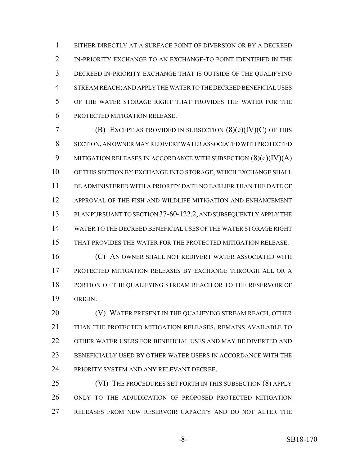EITHER DIRECTLY AT A SURFACE POINT OF DIVERSION OR BY A DECREED IN-PRIORITY EXCHANGE TO AN EXCHANGE-TO POINT IDENTIFIED IN THE DECREED IN-PRIORITY EXCHANGE THAT IS OUTSIDE OF THE QUALIFYING STREAM REACH; AND APPLY THE WATER TO THE DECREED BENEFICIAL USES OF THE WATER STORAGE RIGHT THAT PROVIDES THE WATER FOR THE PROTECTED MITIGATION RELEASE.

7 (B) EXCEPT AS PROVIDED IN SUBSECTION  $(8)(c)(IV)(C)$  OF THIS SECTION, AN OWNER MAY REDIVERT WATER ASSOCIATED WITH PROTECTED 9 MITIGATION RELEASES IN ACCORDANCE WITH SUBSECTION  $(8)(c)(IV)(A)$  OF THIS SECTION BY EXCHANGE INTO STORAGE, WHICH EXCHANGE SHALL BE ADMINISTERED WITH A PRIORITY DATE NO EARLIER THAN THE DATE OF APPROVAL OF THE FISH AND WILDLIFE MITIGATION AND ENHANCEMENT PLAN PURSUANT TO SECTION 37-60-122.2, AND SUBSEQUENTLY APPLY THE WATER TO THE DECREED BENEFICIAL USES OF THE WATER STORAGE RIGHT THAT PROVIDES THE WATER FOR THE PROTECTED MITIGATION RELEASE.

**(C) AN OWNER SHALL NOT REDIVERT WATER ASSOCIATED WITH**  PROTECTED MITIGATION RELEASES BY EXCHANGE THROUGH ALL OR A PORTION OF THE QUALIFYING STREAM REACH OR TO THE RESERVOIR OF ORIGIN.

**(V) WATER PRESENT IN THE QUALIFYING STREAM REACH, OTHER**  THAN THE PROTECTED MITIGATION RELEASES, REMAINS AVAILABLE TO OTHER WATER USERS FOR BENEFICIAL USES AND MAY BE DIVERTED AND BENEFICIALLY USED BY OTHER WATER USERS IN ACCORDANCE WITH THE 24 PRIORITY SYSTEM AND ANY RELEVANT DECREE.

25 (VI) THE PROCEDURES SET FORTH IN THIS SUBSECTION (8) APPLY ONLY TO THE ADJUDICATION OF PROPOSED PROTECTED MITIGATION RELEASES FROM NEW RESERVOIR CAPACITY AND DO NOT ALTER THE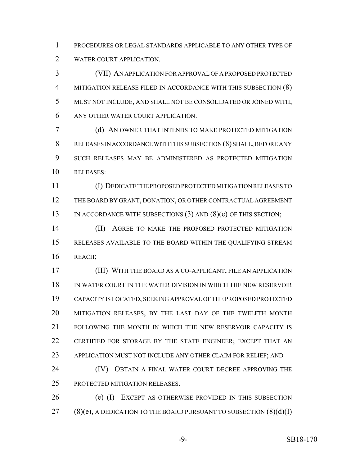PROCEDURES OR LEGAL STANDARDS APPLICABLE TO ANY OTHER TYPE OF WATER COURT APPLICATION.

 (VII) AN APPLICATION FOR APPROVAL OF A PROPOSED PROTECTED 4 MITIGATION RELEASE FILED IN ACCORDANCE WITH THIS SUBSECTION (8) MUST NOT INCLUDE, AND SHALL NOT BE CONSOLIDATED OR JOINED WITH, ANY OTHER WATER COURT APPLICATION.

 (d) AN OWNER THAT INTENDS TO MAKE PROTECTED MITIGATION RELEASES IN ACCORDANCE WITH THIS SUBSECTION (8) SHALL, BEFORE ANY SUCH RELEASES MAY BE ADMINISTERED AS PROTECTED MITIGATION RELEASES:

 (I) DEDICATE THE PROPOSED PROTECTED MITIGATION RELEASES TO THE BOARD BY GRANT, DONATION, OR OTHER CONTRACTUAL AGREEMENT 13 IN ACCORDANCE WITH SUBSECTIONS (3) AND (8)(e) OF THIS SECTION;

 (II) AGREE TO MAKE THE PROPOSED PROTECTED MITIGATION RELEASES AVAILABLE TO THE BOARD WITHIN THE QUALIFYING STREAM REACH;

 (III) WITH THE BOARD AS A CO-APPLICANT, FILE AN APPLICATION IN WATER COURT IN THE WATER DIVISION IN WHICH THE NEW RESERVOIR CAPACITY IS LOCATED, SEEKING APPROVAL OF THE PROPOSED PROTECTED MITIGATION RELEASES, BY THE LAST DAY OF THE TWELFTH MONTH FOLLOWING THE MONTH IN WHICH THE NEW RESERVOIR CAPACITY IS CERTIFIED FOR STORAGE BY THE STATE ENGINEER; EXCEPT THAT AN APPLICATION MUST NOT INCLUDE ANY OTHER CLAIM FOR RELIEF; AND

24 (IV) OBTAIN A FINAL WATER COURT DECREE APPROVING THE PROTECTED MITIGATION RELEASES.

 (e) (I) EXCEPT AS OTHERWISE PROVIDED IN THIS SUBSECTION 27  $(8)(e)$ , A DEDICATION TO THE BOARD PURSUANT TO SUBSECTION  $(8)(d)(I)$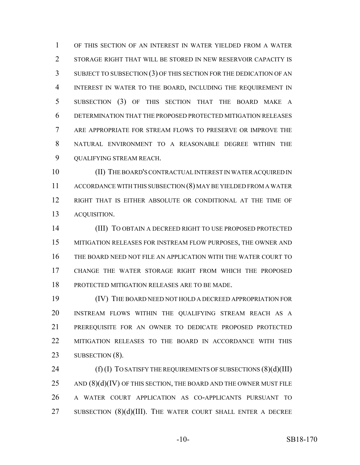OF THIS SECTION OF AN INTEREST IN WATER YIELDED FROM A WATER STORAGE RIGHT THAT WILL BE STORED IN NEW RESERVOIR CAPACITY IS SUBJECT TO SUBSECTION (3) OF THIS SECTION FOR THE DEDICATION OF AN INTEREST IN WATER TO THE BOARD, INCLUDING THE REQUIREMENT IN SUBSECTION (3) OF THIS SECTION THAT THE BOARD MAKE A DETERMINATION THAT THE PROPOSED PROTECTED MITIGATION RELEASES ARE APPROPRIATE FOR STREAM FLOWS TO PRESERVE OR IMPROVE THE NATURAL ENVIRONMENT TO A REASONABLE DEGREE WITHIN THE QUALIFYING STREAM REACH.

 (II) THE BOARD'S CONTRACTUAL INTEREST IN WATER ACQUIRED IN ACCORDANCE WITH THIS SUBSECTION (8) MAY BE YIELDED FROM A WATER RIGHT THAT IS EITHER ABSOLUTE OR CONDITIONAL AT THE TIME OF ACQUISITION.

 (III) TO OBTAIN A DECREED RIGHT TO USE PROPOSED PROTECTED MITIGATION RELEASES FOR INSTREAM FLOW PURPOSES, THE OWNER AND THE BOARD NEED NOT FILE AN APPLICATION WITH THE WATER COURT TO CHANGE THE WATER STORAGE RIGHT FROM WHICH THE PROPOSED PROTECTED MITIGATION RELEASES ARE TO BE MADE.

 (IV) THE BOARD NEED NOT HOLD A DECREED APPROPRIATION FOR INSTREAM FLOWS WITHIN THE QUALIFYING STREAM REACH AS A PREREQUISITE FOR AN OWNER TO DEDICATE PROPOSED PROTECTED MITIGATION RELEASES TO THE BOARD IN ACCORDANCE WITH THIS 23 SUBSECTION (8).

24 (f) (I) TO SATISFY THE REQUIREMENTS OF SUBSECTIONS (8)(d)(III) AND  $(8)(d)(IV)$  OF THIS SECTION, THE BOARD AND THE OWNER MUST FILE A WATER COURT APPLICATION AS CO-APPLICANTS PURSUANT TO 27 SUBSECTION (8)(d)(III). THE WATER COURT SHALL ENTER A DECREE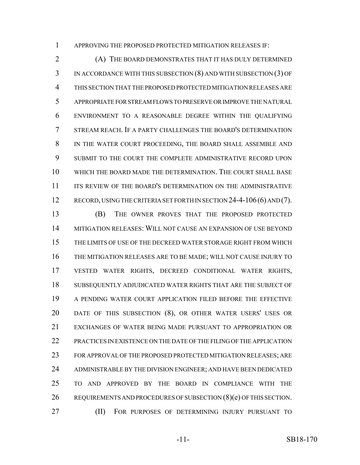APPROVING THE PROPOSED PROTECTED MITIGATION RELEASES IF:

 (A) THE BOARD DEMONSTRATES THAT IT HAS DULY DETERMINED IN ACCORDANCE WITH THIS SUBSECTION (8) AND WITH SUBSECTION (3) OF THIS SECTION THAT THE PROPOSED PROTECTED MITIGATION RELEASES ARE APPROPRIATE FOR STREAM FLOWS TO PRESERVE OR IMPROVE THE NATURAL ENVIRONMENT TO A REASONABLE DEGREE WITHIN THE QUALIFYING STREAM REACH. IF A PARTY CHALLENGES THE BOARD'S DETERMINATION IN THE WATER COURT PROCEEDING, THE BOARD SHALL ASSEMBLE AND SUBMIT TO THE COURT THE COMPLETE ADMINISTRATIVE RECORD UPON WHICH THE BOARD MADE THE DETERMINATION. THE COURT SHALL BASE ITS REVIEW OF THE BOARD'S DETERMINATION ON THE ADMINISTRATIVE 12 RECORD, USING THE CRITERIA SET FORTH IN SECTION 24-4-106(6) AND (7).

 (B) THE OWNER PROVES THAT THE PROPOSED PROTECTED MITIGATION RELEASES: WILL NOT CAUSE AN EXPANSION OF USE BEYOND THE LIMITS OF USE OF THE DECREED WATER STORAGE RIGHT FROM WHICH THE MITIGATION RELEASES ARE TO BE MADE; WILL NOT CAUSE INJURY TO VESTED WATER RIGHTS, DECREED CONDITIONAL WATER RIGHTS, SUBSEQUENTLY ADJUDICATED WATER RIGHTS THAT ARE THE SUBJECT OF A PENDING WATER COURT APPLICATION FILED BEFORE THE EFFECTIVE DATE OF THIS SUBSECTION (8), OR OTHER WATER USERS' USES OR EXCHANGES OF WATER BEING MADE PURSUANT TO APPROPRIATION OR PRACTICES IN EXISTENCE ON THE DATE OF THE FILING OF THE APPLICATION FOR APPROVAL OF THE PROPOSED PROTECTED MITIGATION RELEASES; ARE ADMINISTRABLE BY THE DIVISION ENGINEER; AND HAVE BEEN DEDICATED TO AND APPROVED BY THE BOARD IN COMPLIANCE WITH THE REQUIREMENTS AND PROCEDURES OF SUBSECTION (8)(e) OF THIS SECTION. (II) FOR PURPOSES OF DETERMINING INJURY PURSUANT TO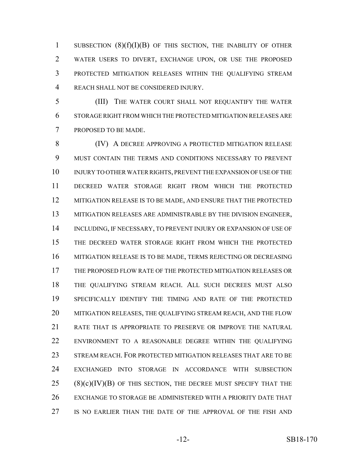1 SUBSECTION  $(8)(f)(I)(B)$  OF THIS SECTION, THE INABILITY OF OTHER WATER USERS TO DIVERT, EXCHANGE UPON, OR USE THE PROPOSED PROTECTED MITIGATION RELEASES WITHIN THE QUALIFYING STREAM REACH SHALL NOT BE CONSIDERED INJURY.

 (III) THE WATER COURT SHALL NOT REQUANTIFY THE WATER STORAGE RIGHT FROM WHICH THE PROTECTED MITIGATION RELEASES ARE PROPOSED TO BE MADE.

8 (IV) A DECREE APPROVING A PROTECTED MITIGATION RELEASE MUST CONTAIN THE TERMS AND CONDITIONS NECESSARY TO PREVENT INJURY TO OTHER WATER RIGHTS, PREVENT THE EXPANSION OF USE OF THE DECREED WATER STORAGE RIGHT FROM WHICH THE PROTECTED 12 MITIGATION RELEASE IS TO BE MADE, AND ENSURE THAT THE PROTECTED MITIGATION RELEASES ARE ADMINISTRABLE BY THE DIVISION ENGINEER, INCLUDING, IF NECESSARY, TO PREVENT INJURY OR EXPANSION OF USE OF THE DECREED WATER STORAGE RIGHT FROM WHICH THE PROTECTED MITIGATION RELEASE IS TO BE MADE, TERMS REJECTING OR DECREASING THE PROPOSED FLOW RATE OF THE PROTECTED MITIGATION RELEASES OR THE QUALIFYING STREAM REACH. ALL SUCH DECREES MUST ALSO SPECIFICALLY IDENTIFY THE TIMING AND RATE OF THE PROTECTED MITIGATION RELEASES, THE QUALIFYING STREAM REACH, AND THE FLOW RATE THAT IS APPROPRIATE TO PRESERVE OR IMPROVE THE NATURAL ENVIRONMENT TO A REASONABLE DEGREE WITHIN THE QUALIFYING STREAM REACH. FOR PROTECTED MITIGATION RELEASES THAT ARE TO BE EXCHANGED INTO STORAGE IN ACCORDANCE WITH SUBSECTION (8)(c)(IV)(B) OF THIS SECTION, THE DECREE MUST SPECIFY THAT THE EXCHANGE TO STORAGE BE ADMINISTERED WITH A PRIORITY DATE THAT IS NO EARLIER THAN THE DATE OF THE APPROVAL OF THE FISH AND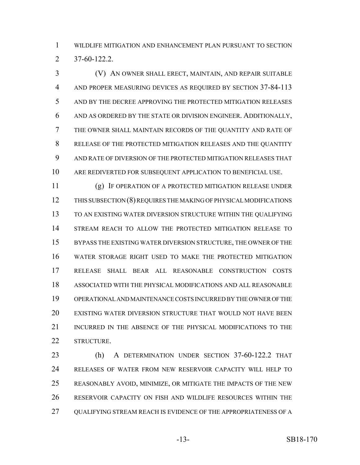WILDLIFE MITIGATION AND ENHANCEMENT PLAN PURSUANT TO SECTION 37-60-122.2.

 (V) AN OWNER SHALL ERECT, MAINTAIN, AND REPAIR SUITABLE AND PROPER MEASURING DEVICES AS REQUIRED BY SECTION 37-84-113 AND BY THE DECREE APPROVING THE PROTECTED MITIGATION RELEASES AND AS ORDERED BY THE STATE OR DIVISION ENGINEER. ADDITIONALLY, THE OWNER SHALL MAINTAIN RECORDS OF THE QUANTITY AND RATE OF RELEASE OF THE PROTECTED MITIGATION RELEASES AND THE QUANTITY AND RATE OF DIVERSION OF THE PROTECTED MITIGATION RELEASES THAT ARE REDIVERTED FOR SUBSEQUENT APPLICATION TO BENEFICIAL USE.

 (g) IF OPERATION OF A PROTECTED MITIGATION RELEASE UNDER THIS SUBSECTION (8) REQUIRES THE MAKING OF PHYSICAL MODIFICATIONS TO AN EXISTING WATER DIVERSION STRUCTURE WITHIN THE QUALIFYING STREAM REACH TO ALLOW THE PROTECTED MITIGATION RELEASE TO BYPASS THE EXISTING WATER DIVERSION STRUCTURE, THE OWNER OF THE WATER STORAGE RIGHT USED TO MAKE THE PROTECTED MITIGATION RELEASE SHALL BEAR ALL REASONABLE CONSTRUCTION COSTS ASSOCIATED WITH THE PHYSICAL MODIFICATIONS AND ALL REASONABLE OPERATIONAL AND MAINTENANCE COSTS INCURRED BY THE OWNER OF THE EXISTING WATER DIVERSION STRUCTURE THAT WOULD NOT HAVE BEEN INCURRED IN THE ABSENCE OF THE PHYSICAL MODIFICATIONS TO THE STRUCTURE.

 (h) A DETERMINATION UNDER SECTION 37-60-122.2 THAT RELEASES OF WATER FROM NEW RESERVOIR CAPACITY WILL HELP TO REASONABLY AVOID, MINIMIZE, OR MITIGATE THE IMPACTS OF THE NEW RESERVOIR CAPACITY ON FISH AND WILDLIFE RESOURCES WITHIN THE 27 OUALIFYING STREAM REACH IS EVIDENCE OF THE APPROPRIATENESS OF A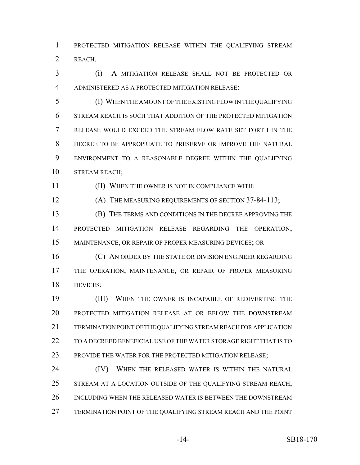PROTECTED MITIGATION RELEASE WITHIN THE QUALIFYING STREAM REACH.

 (i) A MITIGATION RELEASE SHALL NOT BE PROTECTED OR ADMINISTERED AS A PROTECTED MITIGATION RELEASE:

 (I) WHEN THE AMOUNT OF THE EXISTING FLOW IN THE QUALIFYING STREAM REACH IS SUCH THAT ADDITION OF THE PROTECTED MITIGATION RELEASE WOULD EXCEED THE STREAM FLOW RATE SET FORTH IN THE DECREE TO BE APPROPRIATE TO PRESERVE OR IMPROVE THE NATURAL ENVIRONMENT TO A REASONABLE DEGREE WITHIN THE QUALIFYING STREAM REACH;

(II) WHEN THE OWNER IS NOT IN COMPLIANCE WITH:

12 (A) THE MEASURING REQUIREMENTS OF SECTION 37-84-113;

 (B) THE TERMS AND CONDITIONS IN THE DECREE APPROVING THE PROTECTED MITIGATION RELEASE REGARDING THE OPERATION, MAINTENANCE, OR REPAIR OF PROPER MEASURING DEVICES; OR

**(C)** AN ORDER BY THE STATE OR DIVISION ENGINEER REGARDING THE OPERATION, MAINTENANCE, OR REPAIR OF PROPER MEASURING DEVICES;

 (III) WHEN THE OWNER IS INCAPABLE OF REDIVERTING THE PROTECTED MITIGATION RELEASE AT OR BELOW THE DOWNSTREAM TERMINATION POINT OF THE QUALIFYING STREAM REACH FOR APPLICATION TO A DECREED BENEFICIAL USE OF THE WATER STORAGE RIGHT THAT IS TO 23 PROVIDE THE WATER FOR THE PROTECTED MITIGATION RELEASE;

**(IV)** WHEN THE RELEASED WATER IS WITHIN THE NATURAL STREAM AT A LOCATION OUTSIDE OF THE QUALIFYING STREAM REACH, INCLUDING WHEN THE RELEASED WATER IS BETWEEN THE DOWNSTREAM TERMINATION POINT OF THE QUALIFYING STREAM REACH AND THE POINT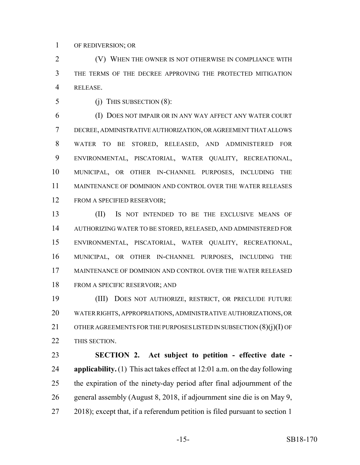#### OF REDIVERSION; OR

 (V) WHEN THE OWNER IS NOT OTHERWISE IN COMPLIANCE WITH THE TERMS OF THE DECREE APPROVING THE PROTECTED MITIGATION RELEASE.

(j) THIS SUBSECTION (8):

 (I) DOES NOT IMPAIR OR IN ANY WAY AFFECT ANY WATER COURT DECREE, ADMINISTRATIVE AUTHORIZATION, OR AGREEMENT THAT ALLOWS WATER TO BE STORED, RELEASED, AND ADMINISTERED FOR ENVIRONMENTAL, PISCATORIAL, WATER QUALITY, RECREATIONAL, MUNICIPAL, OR OTHER IN-CHANNEL PURPOSES, INCLUDING THE MAINTENANCE OF DOMINION AND CONTROL OVER THE WATER RELEASES 12 FROM A SPECIFIED RESERVOIR;

 (II) IS NOT INTENDED TO BE THE EXCLUSIVE MEANS OF AUTHORIZING WATER TO BE STORED, RELEASED, AND ADMINISTERED FOR ENVIRONMENTAL, PISCATORIAL, WATER QUALITY, RECREATIONAL, MUNICIPAL, OR OTHER IN-CHANNEL PURPOSES, INCLUDING THE MAINTENANCE OF DOMINION AND CONTROL OVER THE WATER RELEASED FROM A SPECIFIC RESERVOIR; AND

 (III) DOES NOT AUTHORIZE, RESTRICT, OR PRECLUDE FUTURE WATER RIGHTS, APPROPRIATIONS, ADMINISTRATIVE AUTHORIZATIONS, OR 21 OTHER AGREEMENTS FOR THE PURPOSES LISTED IN SUBSECTION  $(8)(j)(I)$  OF THIS SECTION.

 **SECTION 2. Act subject to petition - effective date - applicability.** (1) This act takes effect at 12:01 a.m. on the day following the expiration of the ninety-day period after final adjournment of the general assembly (August 8, 2018, if adjournment sine die is on May 9, 2018); except that, if a referendum petition is filed pursuant to section 1